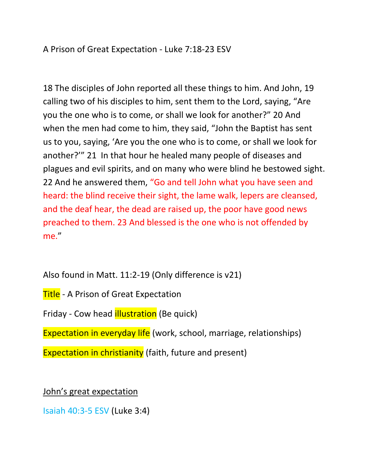A Prison of Great Expectation - Luke 7:18-23 ESV

18 The disciples of John reported all these things to him. And John, 19 calling two of his disciples to him, sent them to the Lord, saying, "Are you the one who is to come, or shall we look for another?" 20 And when the men had come to him, they said, "John the Baptist has sent us to you, saying, 'Are you the one who is to come, or shall we look for another?'" 21 In that hour he healed many people of diseases and plagues and evil spirits, and on many who were blind he bestowed sight. 22 And he answered them, "Go and tell John what you have seen and heard: the blind receive their sight, the lame walk, lepers are cleansed, and the deaf hear, the dead are raised up, the poor have good news preached to them. 23 And blessed is the one who is not offended by me."

Also found in Matt. 11:2-19 (Only difference is v21)

**Title** - A Prison of Great Expectation

Friday - Cow head **illustration** (Be quick)

Expectation in everyday life (work, school, marriage, relationships)

Expectation in christianity (faith, future and present)

John's great expectation

Isaiah 40:3-5 ESV (Luke 3:4)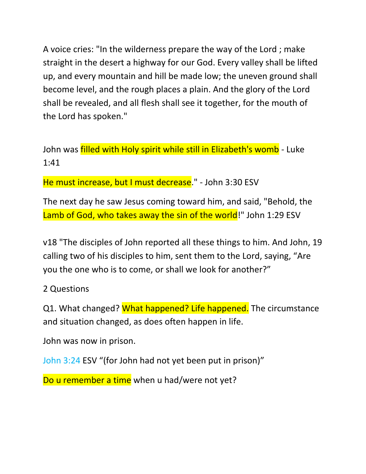A voice cries: "In the wilderness prepare the way of the Lord ; make straight in the desert a highway for our God. Every valley shall be lifted up, and every mountain and hill be made low; the uneven ground shall become level, and the rough places a plain. And the glory of the Lord shall be revealed, and all flesh shall see it together, for the mouth of the Lord has spoken."

John was *filled with Holy spirit while still in Elizabeth's womb* - Luke 1:41

He must increase, but I must decrease." - John 3:30 ESV

The next day he saw Jesus coming toward him, and said, "Behold, the Lamb of God, who takes away the sin of the world!" John 1:29 ESV

v18 "The disciples of John reported all these things to him. And John, 19 calling two of his disciples to him, sent them to the Lord, saying, "Are you the one who is to come, or shall we look for another?"

### 2 Questions

Q1. What changed? What happened? Life happened. The circumstance and situation changed, as does often happen in life.

John was now in prison.

John 3:24 ESV "(for John had not yet been put in prison)"

Do u remember a time when u had/were not yet?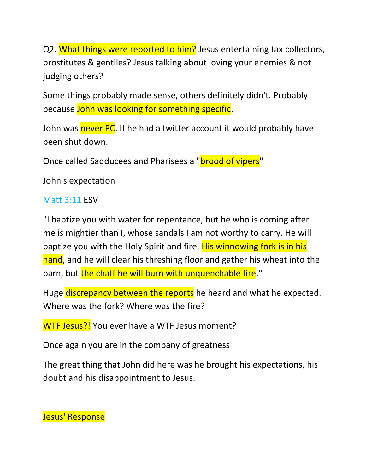Q2. What things were reported to him? Jesus entertaining tax collectors, prostitutes & gentiles? Jesus talking about loving your enemies & not judging others?

Some things probably made sense, others definitely didn't. Probably because John was looking for something specific.

John was never PC. If he had a twitter account it would probably have been shut down.

Once called Sadducees and Pharisees a "brood of vipers"

John's expectation

### Matt 3:11 ESV

"I baptize you with water for repentance, but he who is coming after me is mightier than I, whose sandals I am not worthy to carry. He will baptize you with the Holy Spirit and fire. His winnowing fork is in his hand, and he will clear his threshing floor and gather his wheat into the barn, but the chaff he will burn with unquenchable fire."

Huge discrepancy between the reports he heard and what he expected. Where was the fork? Where was the fire?

WTF Jesus?! You ever have a WTF Jesus moment?

Once again you are in the company of greatness

The great thing that John did here was he brought his expectations, his doubt and his disappointment to Jesus.

Jesus' Response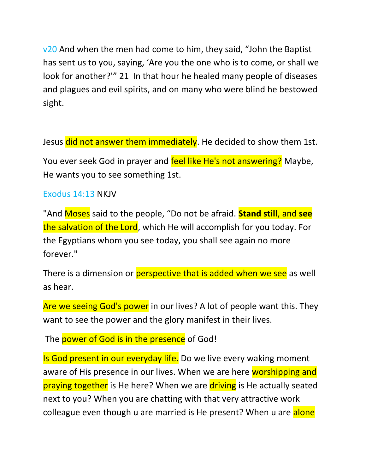v20 And when the men had come to him, they said, "John the Baptist" has sent us to you, saying, 'Are you the one who is to come, or shall we look for another?'" 21 In that hour he healed many people of diseases and plagues and evil spirits, and on many who were blind he bestowed sight.

Jesus did not answer them immediately. He decided to show them 1st.

You ever seek God in prayer and feel like He's not answering? Maybe, He wants you to see something 1st.

#### Exodus 14:13 NKJV

"And Moses said to the people, "Do not be afraid. **Stand still**, and **see** the salvation of the Lord, which He will accomplish for you today. For the Egyptians whom you see today, you shall see again no more forever."

There is a dimension or **perspective that is added when we see** as well as hear.

Are we seeing God's power in our lives? A lot of people want this. They want to see the power and the glory manifest in their lives.

The power of God is in the presence of God!

Is God present in our everyday life. Do we live every waking moment aware of His presence in our lives. When we are here worshipping and praying together is He here? When we are driving is He actually seated next to you? When you are chatting with that very attractive work colleague even though u are married is He present? When u are alone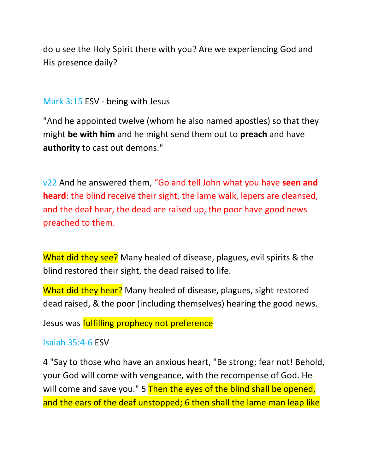do u see the Holy Spirit there with you? Are we experiencing God and His presence daily?

### Mark 3:15 ESV - being with Jesus

"And he appointed twelve (whom he also named apostles) so that they might **be with him** and he might send them out to **preach** and have **authority** to cast out demons."

v22 And he answered them, "Go and tell John what you have **seen and heard**: the blind receive their sight, the lame walk, lepers are cleansed, and the deaf hear, the dead are raised up, the poor have good news preached to them.

What did they see? Many healed of disease, plagues, evil spirits & the blind restored their sight, the dead raised to life.

What did they hear? Many healed of disease, plagues, sight restored dead raised, & the poor (including themselves) hearing the good news.

Jesus was **fulfilling prophecy not preference** 

#### Isaiah 35:4-6 ESV

4 "Say to those who have an anxious heart, "Be strong; fear not! Behold, your God will come with vengeance, with the recompense of God. He will come and save you." 5 Then the eyes of the blind shall be opened, and the ears of the deaf unstopped; 6 then shall the lame man leap like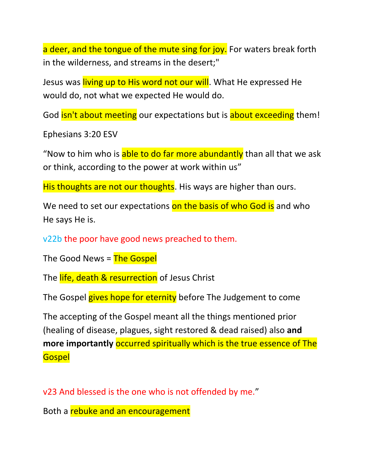a deer, and the tongue of the mute sing for joy. For waters break forth in the wilderness, and streams in the desert;"

Jesus was living up to His word not our will. What He expressed He would do, not what we expected He would do.

God **isn't about meeting** our expectations but is **about exceeding** them!

Ephesians 3:20 ESV

"Now to him who is able to do far more abundantly than all that we ask or think, according to the power at work within us"

His thoughts are not our thoughts. His ways are higher than ours.

We need to set our expectations on the basis of who God is and who He says He is.

v22b the poor have good news preached to them.

The Good News = The Gospel

The life, death & resurrection of Jesus Christ

The Gospel gives hope for eternity before The Judgement to come

The accepting of the Gospel meant all the things mentioned prior (healing of disease, plagues, sight restored & dead raised) also **and more importantly** occurred spiritually which is the true essence of The **Gospel** 

v23 And blessed is the one who is not offended by me."

Both a rebuke and an encouragement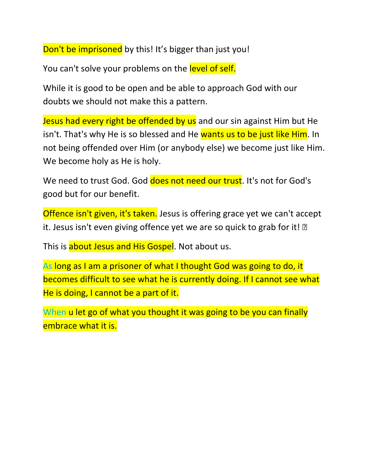Don't be imprisoned by this! It's bigger than just you!

You can't solve your problems on the level of self.

While it is good to be open and be able to approach God with our doubts we should not make this a pattern.

Jesus had every right be offended by us and our sin against Him but He isn't. That's why He is so blessed and He wants us to be just like Him. In not being offended over Him (or anybody else) we become just like Him. We become holy as He is holy.

We need to trust God. God does not need our trust. It's not for God's good but for our benefit.

Offence isn't given, it's taken. Jesus is offering grace yet we can't accept it. Jesus isn't even giving offence yet we are so quick to grab for it! 2

This is about Jesus and His Gospel. Not about us.

As long as I am a prisoner of what I thought God was going to do, it becomes difficult to see what he is currently doing. If I cannot see what He is doing, I cannot be a part of it.

When u let go of what you thought it was going to be you can finally embrace what it is.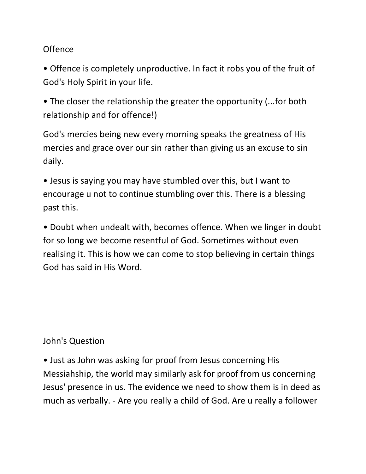## Offence

• Offence is completely unproductive. In fact it robs you of the fruit of God's Holy Spirit in your life.

• The closer the relationship the greater the opportunity (...for both relationship and for offence!)

God's mercies being new every morning speaks the greatness of His mercies and grace over our sin rather than giving us an excuse to sin daily.

• Jesus is saying you may have stumbled over this, but I want to encourage u not to continue stumbling over this. There is a blessing past this.

• Doubt when undealt with, becomes offence. When we linger in doubt for so long we become resentful of God. Sometimes without even realising it. This is how we can come to stop believing in certain things God has said in His Word.

## John's Question

• Just as John was asking for proof from Jesus concerning His Messiahship, the world may similarly ask for proof from us concerning Jesus' presence in us. The evidence we need to show them is in deed as much as verbally. - Are you really a child of God. Are u really a follower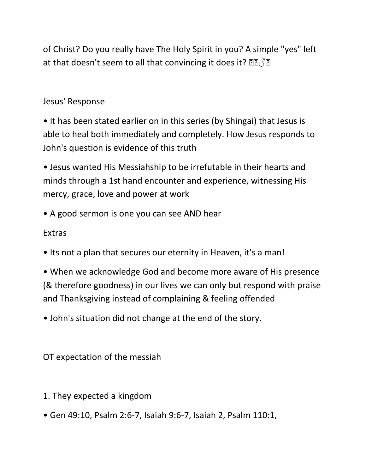of Christ? Do you really have The Holy Spirit in you? A simple "yes" left at that doesn't seem to all that convincing it does it?  $\mathbb{R} \widehat{\otimes} \mathbb{R}$ 

## Jesus' Response

- It has been stated earlier on in this series (by Shingai) that Jesus is able to heal both immediately and completely. How Jesus responds to John's question is evidence of this truth
- Jesus wanted His Messiahship to be irrefutable in their hearts and minds through a 1st hand encounter and experience, witnessing His mercy, grace, love and power at work
- A good sermon is one you can see AND hear

# Extras

- Its not a plan that secures our eternity in Heaven, it's a man!
- When we acknowledge God and become more aware of His presence (& therefore goodness) in our lives we can only but respond with praise and Thanksgiving instead of complaining & feeling offended
- John's situation did not change at the end of the story.

OT expectation of the messiah

- 1. They expected a kingdom
- Gen 49:10, Psalm 2:6-7, Isaiah 9:6-7, Isaiah 2, Psalm 110:1,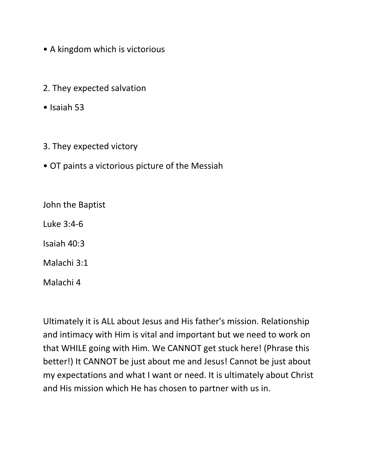- A kingdom which is victorious
- 2. They expected salvation
- Isaiah 53
- 3. They expected victory
- OT paints a victorious picture of the Messiah

John the Baptist

Luke 3:4-6

Isaiah 40:3

Malachi 3:1

Malachi 4

Ultimately it is ALL about Jesus and His father's mission. Relationship and intimacy with Him is vital and important but we need to work on that WHILE going with Him. We CANNOT get stuck here! (Phrase this better!) It CANNOT be just about me and Jesus! Cannot be just about my expectations and what I want or need. It is ultimately about Christ and His mission which He has chosen to partner with us in.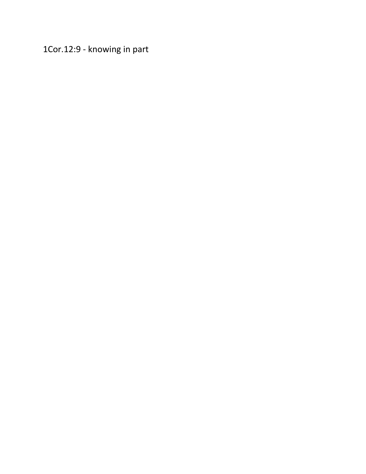1Cor.12:9 - knowing in part